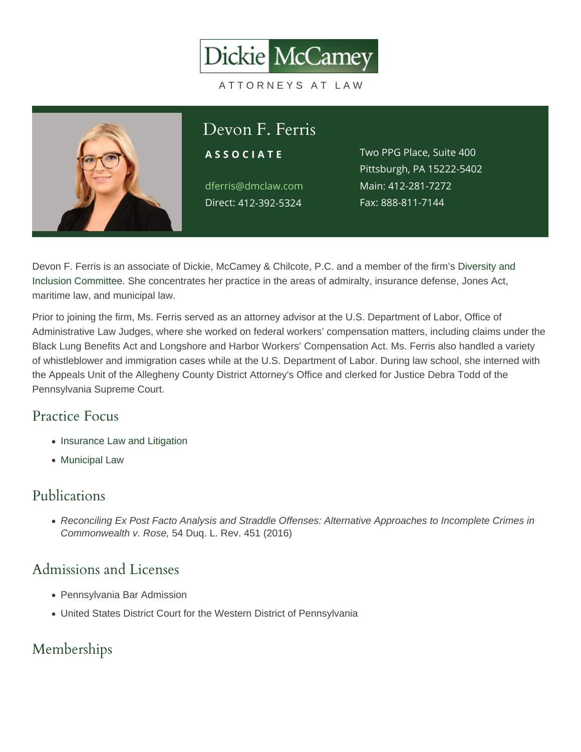# Devon F. Ferris

dferris@dmclaw.com Main4:12-281-7272 Direc4t12-392-5324

ASSOCIATE Two PPG Place, Suite 400 Pittsburgh, PA 15222-5402 Fax: 888-811-7144

Devon F. Ferris is an associate of Dickie, McCamey & Chilcote, P.C. and a member of the firm's [Diversity and](/about/diversity-and-inclusion/)  [Inclusion Committee](/about/diversity-and-inclusion/). She concentrates her practice in the areas of admiralty, insurance defense, Jones Act, maritime law, and municipal law.

Prior to joining the firm, Ms. Ferris served as an attorney advisor at the U.S. Department of Labor, Office of Administrative Law Judges, where she worked on federal workers' compensation matters, including claims under the Black Lung Benefits Act and Longshore and Harbor Workers' Compensation Act. Ms. Ferris also handled a variety of whistleblower and immigration cases while at the U.S. Department of Labor. During law school, she interned with the Appeals Unit of the Allegheny County District Attorney's Office and clerked for Justice Debra Todd of the Pennsylvania Supreme Court.

# Practice Focus

- [Insurance Law and Litigation](https://www.dmclaw.com/practices/insurance-law-and-litigation/)
- [Municipal Law](https://www.dmclaw.com/practices/municipal-law/)

## Publications

Reconciling Ex Post Facto Analysis and Straddle Offenses: Alternative Approaches to Incomplete Crimes in Commonwealth v. Rose, 54 Duq. L. Rev. 451 (2016)

#### Admissions and Licenses

- Pennsylvania Bar Admission
- United States District Court for the Western District of Pennsylvania

#### Memberships